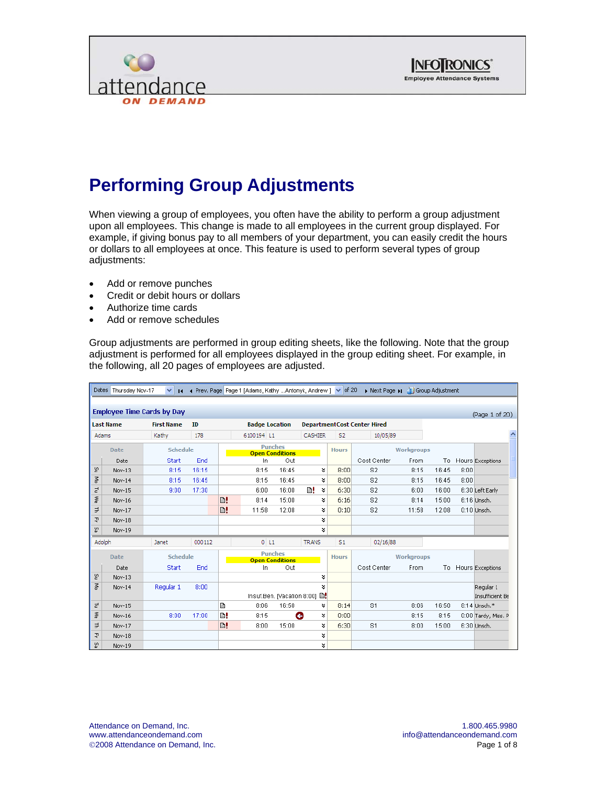



#### **Performing Group Adjustments**

When viewing a group of employees, you often have the ability to perform a group adjustment upon all employees. This change is made to all employees in the current group displayed. For example, if giving bonus pay to all members of your department, you can easily credit the hours or dollars to all employees at once. This feature is used to perform several types of group adjustments:

- Add or remove punches
- Credit or debit hours or dollars
- Authorize time cards
- Add or remove schedules

Group adjustments are performed in group editing sheets, like the following. Note that the group adjustment is performed for all employees displayed in the group editing sheet. For example, in the following, all 20 pages of employees are adjusted.

|              | I Prev. Page Page 1 [Adams, Kathy Antonyk, Andrew ] V of 20<br>Next Page M 1 Group Adjustment<br>Dates Thursday Nov-17<br>$\checkmark$<br>$\mathbf{H}$ |                                   |        |    |                                          |       |                |                |                |                   |       |      |                              |
|--------------|--------------------------------------------------------------------------------------------------------------------------------------------------------|-----------------------------------|--------|----|------------------------------------------|-------|----------------|----------------|----------------|-------------------|-------|------|------------------------------|
|              |                                                                                                                                                        |                                   |        |    |                                          |       |                |                |                |                   |       |      |                              |
|              |                                                                                                                                                        | <b>Employee Time Cards by Day</b> |        |    |                                          |       |                |                |                |                   |       |      | (Page 1 of 20)               |
|              | ID<br><b>Department Cost Center Hired</b><br><b>Last Name</b><br><b>First Name</b><br><b>Badge Location</b>                                            |                                   |        |    |                                          |       |                |                |                |                   |       |      |                              |
| <b>Adams</b> |                                                                                                                                                        | Kathy                             | 178    |    | 6100194 L1                               |       | <b>CASHIER</b> | S <sub>2</sub> | 10/05/89       |                   |       |      |                              |
|              | Date                                                                                                                                                   | Schedule                          |        |    | <b>Punches</b><br><b>Open Conditions</b> |       |                | <b>Hours</b>   |                | <b>Workaroups</b> |       |      |                              |
|              | Date                                                                                                                                                   | <b>Start</b>                      | End    |    | In.                                      | Out   |                |                | Cost Center    | From              | To    |      | Hours Exceptions             |
| ど            | Nov-13                                                                                                                                                 | 8:15                              | 16:15  |    | 8:15                                     | 16:45 | ¥              | 8:00           | S <sub>2</sub> | 8:15              | 16:45 | 8:00 |                              |
| 종            | Nov-14                                                                                                                                                 | 8:15                              | 16:45  |    | 8:15                                     | 16:45 | ×              | 8:00           | S <sub>2</sub> | 8:15              | 16:45 | 8:00 |                              |
| F            | Nov-15                                                                                                                                                 | 9:00                              | 17:30  |    | 6:00                                     | 16:00 | m!<br>¥        | 6:30           | S <sub>2</sub> | 6:00              | 16:00 |      | 6:30 Left Early              |
| ≷            | Nov-16                                                                                                                                                 |                                   |        | B! | 8:14                                     | 15:00 | ×.             | 6:16           | S <sub>2</sub> | 8:14              | 15:00 |      | 6:16 Unsch.                  |
| Ę            | Nov-17                                                                                                                                                 |                                   |        | B! | 11:58                                    | 12:08 | ×.             | 0:10           | S <sub>2</sub> | 11:58             | 12:08 |      | $0:10$ Unsch.                |
| 곳            | Nov-18                                                                                                                                                 |                                   |        |    |                                          |       | ×.             |                |                |                   |       |      |                              |
| 없            | Nov-19                                                                                                                                                 |                                   |        |    |                                          |       | ¥              |                |                |                   |       |      |                              |
| m<br>Adolph  |                                                                                                                                                        | Janet                             | 000112 |    | $0$ L <sub>1</sub>                       |       | <b>TRANS</b>   | S <sub>1</sub> | 02/16/88       |                   |       |      |                              |
|              | <b>Date</b>                                                                                                                                            | Schedule                          |        |    | <b>Punches</b><br><b>Open Conditions</b> |       |                | <b>Hours</b>   |                | <b>Workaroups</b> |       |      |                              |
|              | Date                                                                                                                                                   | <b>Start</b>                      | End    |    | In.                                      | Out   |                |                | Cost Center    | From              | To    |      | Hours Exceptions             |
| 온            | Nov-13                                                                                                                                                 |                                   |        |    |                                          |       | ¥              |                |                |                   |       |      |                              |
| $\mathbb{R}$ | Nov-14                                                                                                                                                 | Regular 1                         | 8:00   |    | Insuf.Ben. [Vacation 8:00]               |       | ¥<br>B!        |                |                |                   |       |      | Regular 1<br>Insufficient Be |
| F            | Nov-15                                                                                                                                                 |                                   |        | €  | 8:06                                     | 16:50 | ¥              | 8:14           | S <sub>1</sub> | 8:06              | 16:50 |      | 8:14 Unsch.*                 |
| 좋            | Nov-16                                                                                                                                                 | 8:00                              | 17:00  | B! | 8:15                                     |       | Θ<br>¥         | 0:00           |                | 8:15              | 8:15  |      | 0:00 Tardy, Miss. P          |
| Ę            | Nov-17                                                                                                                                                 |                                   |        | B! | 8:00                                     | 15:00 | ×              | 6:30           | S <sub>1</sub> | 8:00              | 15:00 |      | 6:30 Unsch.                  |
| 귀            | Nov-18                                                                                                                                                 |                                   |        |    |                                          |       | ×.             |                |                |                   |       |      |                              |
| 없            | Nov-19                                                                                                                                                 |                                   |        |    |                                          |       | ×.             |                |                |                   |       |      |                              |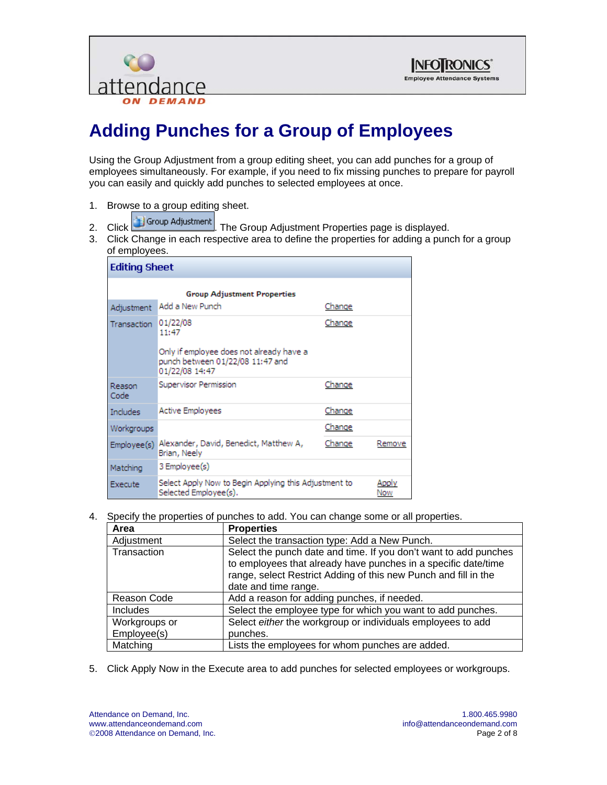



# **Adding Punches for a Group of Employees**

Using the Group Adjustment from a group editing sheet, you can add punches for a group of employees simultaneously. For example, if you need to fix missing punches to prepare for payroll you can easily and quickly add punches to selected employees at once.

- 1. Browse to a group editing sheet.
- 2. Click Group Adjustment The Group Adjustment Properties page is displayed.
- 3. Click Change in each respective area to define the properties for adding a punch for a group of employees.

| <b>Editing Sheet</b>                                                                      |                                                                                                                     |        |              |  |  |  |
|-------------------------------------------------------------------------------------------|---------------------------------------------------------------------------------------------------------------------|--------|--------------|--|--|--|
|                                                                                           | <b>Group Adjustment Properties</b>                                                                                  |        |              |  |  |  |
| Adjustment                                                                                | Add a New Punch                                                                                                     | Change |              |  |  |  |
| <b>Transaction</b>                                                                        | 01/22/08<br>11:47<br>Only if employee does not already have a<br>punch between 01/22/08 11:47 and<br>01/22/08 14:47 | Change |              |  |  |  |
| Reason<br>Code                                                                            | Supervisor Permission                                                                                               | Change |              |  |  |  |
| <b>Includes</b>                                                                           | Active Employees                                                                                                    | Change |              |  |  |  |
| Workgroups                                                                                |                                                                                                                     | Change |              |  |  |  |
| Employee(s)                                                                               | Alexander, David, Benedict, Matthew A,<br>Brian, Neely                                                              | Change | Remove       |  |  |  |
| Matching                                                                                  | 3 Employee(s)                                                                                                       |        |              |  |  |  |
| Select Apply Now to Begin Applying this Adjustment to<br>Execute<br>Selected Employee(s). |                                                                                                                     |        | Apply<br>Now |  |  |  |

4. Specify the properties of punches to add. You can change some or all properties.

| Area            | <b>Properties</b>                                                |
|-----------------|------------------------------------------------------------------|
| Adjustment      | Select the transaction type: Add a New Punch.                    |
| Transaction     | Select the punch date and time. If you don't want to add punches |
|                 | to employees that already have punches in a specific date/time   |
|                 | range, select Restrict Adding of this new Punch and fill in the  |
|                 | date and time range.                                             |
| Reason Code     | Add a reason for adding punches, if needed.                      |
| <b>Includes</b> | Select the employee type for which you want to add punches.      |
| Workgroups or   | Select either the workgroup or individuals employees to add      |
| Employee(s)     | punches.                                                         |
| Matching        | Lists the employees for whom punches are added.                  |

5. Click Apply Now in the Execute area to add punches for selected employees or workgroups.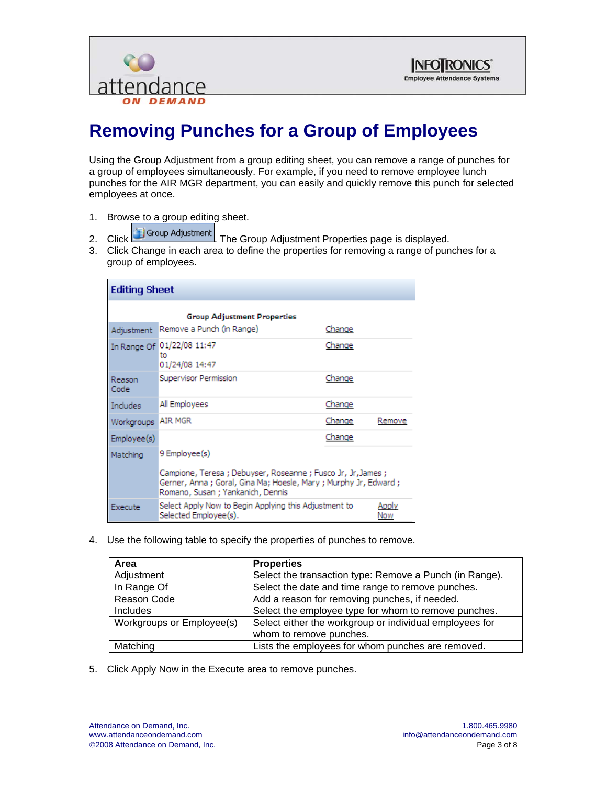



# **Removing Punches for a Group of Employees**

Using the Group Adjustment from a group editing sheet, you can remove a range of punches for a group of employees simultaneously. For example, if you need to remove employee lunch punches for the AIR MGR department, you can easily and quickly remove this punch for selected employees at once.

- 1. Browse to a group editing sheet.
- 
- 2. Click Group Adjustment The Group Adjustment Properties page is displayed.
- 3. Click Change in each area to define the properties for removing a range of punches for a group of employees.

| <b>Editing Sheet</b>                                                                                      |                                                                                                                                                                                         |        |        |  |  |  |
|-----------------------------------------------------------------------------------------------------------|-----------------------------------------------------------------------------------------------------------------------------------------------------------------------------------------|--------|--------|--|--|--|
| <b>Group Adjustment Properties</b>                                                                        |                                                                                                                                                                                         |        |        |  |  |  |
| Adjustment                                                                                                | Remove a Punch (in Range)                                                                                                                                                               | Change |        |  |  |  |
|                                                                                                           | In Range Of 01/22/08 11:47<br>to<br>01/24/08 14:47                                                                                                                                      | Change |        |  |  |  |
| Reason<br>Code                                                                                            | Supervisor Permission                                                                                                                                                                   | Change |        |  |  |  |
| Includes                                                                                                  | All Employees                                                                                                                                                                           | Change |        |  |  |  |
| Workgroups                                                                                                | <b>AIR MGR</b>                                                                                                                                                                          | Change | Remove |  |  |  |
| Employee(s)                                                                                               |                                                                                                                                                                                         | Change |        |  |  |  |
| Matching                                                                                                  | 9 Employee(s)<br>Campione, Teresa ; Debuyser, Roseanne ; Fusco Jr, Jr,James ;<br>Gerner, Anna ; Goral, Gina Ma; Hoesle, Mary ; Murphy Jr, Edward ;<br>Romano, Susan ; Yankanich, Dennis |        |        |  |  |  |
| Select Apply Now to Begin Applying this Adjustment to<br>Apply<br>Execute<br>Selected Employee(s).<br>Now |                                                                                                                                                                                         |        |        |  |  |  |

4. Use the following table to specify the properties of punches to remove.

| Area                      | <b>Properties</b>                                       |
|---------------------------|---------------------------------------------------------|
| Adjustment                | Select the transaction type: Remove a Punch (in Range). |
| In Range Of               | Select the date and time range to remove punches.       |
| Reason Code               | Add a reason for removing punches, if needed.           |
| <b>Includes</b>           | Select the employee type for whom to remove punches.    |
| Workgroups or Employee(s) | Select either the workgroup or individual employees for |
|                           | whom to remove punches.                                 |
| Matching                  | Lists the employees for whom punches are removed.       |

5. Click Apply Now in the Execute area to remove punches.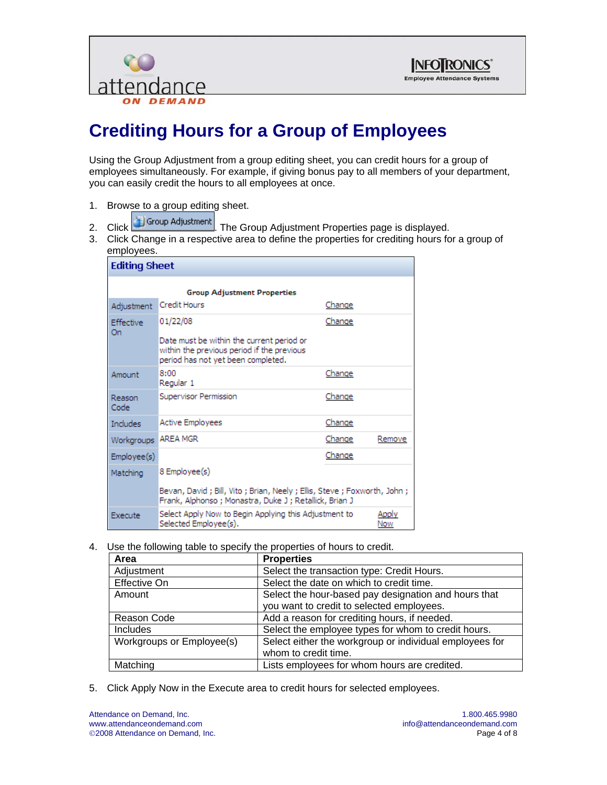



# **Crediting Hours for a Group of Employees**

Using the Group Adjustment from a group editing sheet, you can credit hours for a group of employees simultaneously. For example, if giving bonus pay to all members of your department, you can easily credit the hours to all employees at once.

- 1. Browse to a group editing sheet.
- 2. Click **3** Group Adjustment **The Group Adjustment Properties page is displayed.**
- 3. Click Change in a respective area to define the properties for crediting hours for a group of employees.

| <b>Editing Sheet</b>                                                                                      |                                                                                                                                           |               |        |  |  |  |
|-----------------------------------------------------------------------------------------------------------|-------------------------------------------------------------------------------------------------------------------------------------------|---------------|--------|--|--|--|
| <b>Group Adjustment Properties</b>                                                                        |                                                                                                                                           |               |        |  |  |  |
| Adjustment                                                                                                | <b>Credit Hours</b>                                                                                                                       | Change        |        |  |  |  |
| Effective<br>On                                                                                           | 01/22/08<br>Date must be within the current period or<br>within the previous period if the previous<br>period has not yet been completed. | Change        |        |  |  |  |
| Amount                                                                                                    | 8:00<br>Regular 1                                                                                                                         | Change        |        |  |  |  |
| Reason<br>Code                                                                                            | Supervisor Permission                                                                                                                     | Change        |        |  |  |  |
| Includes                                                                                                  | <b>Active Employees</b>                                                                                                                   | Change        |        |  |  |  |
| Workgroups                                                                                                | <b>AREA MGR</b>                                                                                                                           | <u>Change</u> | Remove |  |  |  |
| Employee(s)                                                                                               |                                                                                                                                           | Change        |        |  |  |  |
| Matching                                                                                                  | 8 Employee(s)                                                                                                                             |               |        |  |  |  |
|                                                                                                           | Bevan, David ; Bill, Vito ; Brian, Neely ; Ellis, Steve ; Foxworth, John ;<br>Frank, Alphonso ; Monastra, Duke J ; Retallick, Brian J     |               |        |  |  |  |
| Select Apply Now to Begin Applying this Adjustment to<br>Apply<br>Execute<br>Selected Employee(s).<br>Now |                                                                                                                                           |               |        |  |  |  |

4. Use the following table to specify the properties of hours to credit.

| Area                      | <b>Properties</b>                                       |  |
|---------------------------|---------------------------------------------------------|--|
| Adjustment                | Select the transaction type: Credit Hours.              |  |
| <b>Effective On</b>       | Select the date on which to credit time.                |  |
| Amount                    | Select the hour-based pay designation and hours that    |  |
|                           | you want to credit to selected employees.               |  |
| Reason Code               | Add a reason for crediting hours, if needed.            |  |
| Includes                  | Select the employee types for whom to credit hours.     |  |
| Workgroups or Employee(s) | Select either the workgroup or individual employees for |  |
|                           | whom to credit time.                                    |  |
| Matching                  | Lists employees for whom hours are credited.            |  |

5. Click Apply Now in the Execute area to credit hours for selected employees.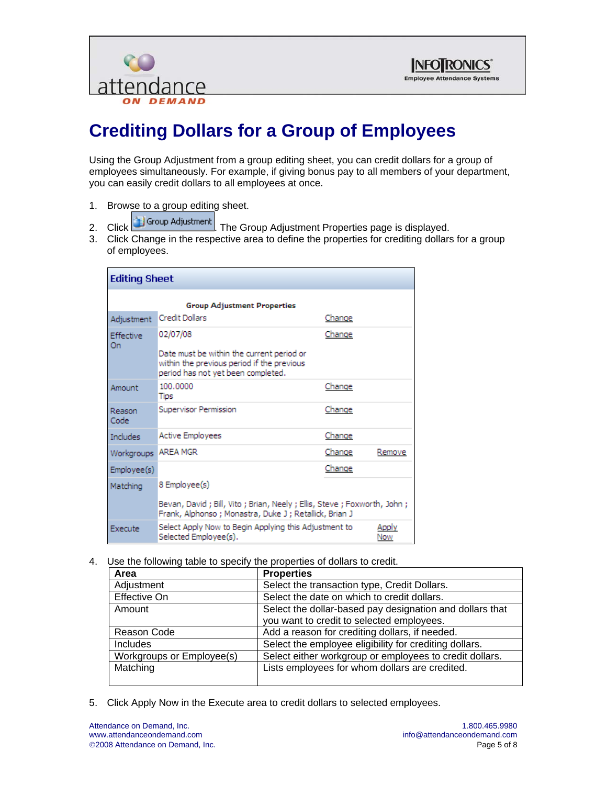



# **Crediting Dollars for a Group of Employees**

Using the Group Adjustment from a group editing sheet, you can credit dollars for a group of employees simultaneously. For example, if giving bonus pay to all members of your department, you can easily credit dollars to all employees at once.

- 1. Browse to a group editing sheet.
- 2. Click Group Adjustment The Group Adjustment Properties page is displayed.
- 3. Click Change in the respective area to define the properties for crediting dollars for a group of employees.

| <b>Editing Sheet</b>                                                                                      |                                                                                                                                           |        |        |  |  |  |
|-----------------------------------------------------------------------------------------------------------|-------------------------------------------------------------------------------------------------------------------------------------------|--------|--------|--|--|--|
|                                                                                                           | <b>Group Adjustment Properties</b>                                                                                                        |        |        |  |  |  |
| Adjustment                                                                                                | Credit Dollars                                                                                                                            | Change |        |  |  |  |
| <b>Effective</b><br>On                                                                                    | 02/07/08<br>Date must be within the current period or<br>within the previous period if the previous<br>period has not yet been completed. | Change |        |  |  |  |
| Amount                                                                                                    | 100,0000<br>Tips                                                                                                                          | Change |        |  |  |  |
| Reason<br>Code                                                                                            | Supervisor Permission                                                                                                                     | Change |        |  |  |  |
| Includes                                                                                                  | <b>Active Employees</b>                                                                                                                   | Change |        |  |  |  |
| Workgroups                                                                                                | <b>AREA MGR</b>                                                                                                                           | Change | Remove |  |  |  |
| Employee(s)                                                                                               |                                                                                                                                           | Change |        |  |  |  |
| 8 Employee(s)<br>Matching                                                                                 |                                                                                                                                           |        |        |  |  |  |
|                                                                                                           | Bevan, David ; Bill, Vito ; Brian, Neely ; Ellis, Steve ; Foxworth, John ;<br>Frank, Alphonso ; Monastra, Duke J ; Retallick, Brian J     |        |        |  |  |  |
| Select Apply Now to Begin Applying this Adjustment to<br>Apply<br>Execute<br>Selected Employee(s).<br>Now |                                                                                                                                           |        |        |  |  |  |

4. Use the following table to specify the properties of dollars to credit.

| Area                      | <b>Properties</b>                                        |  |
|---------------------------|----------------------------------------------------------|--|
| Adjustment                | Select the transaction type, Credit Dollars.             |  |
| Effective On              | Select the date on which to credit dollars.              |  |
| Amount                    | Select the dollar-based pay designation and dollars that |  |
|                           | you want to credit to selected employees.                |  |
| Reason Code               | Add a reason for crediting dollars, if needed.           |  |
| <b>Includes</b>           | Select the employee eligibility for crediting dollars.   |  |
| Workgroups or Employee(s) | Select either workgroup or employees to credit dollars.  |  |
| Matching                  | Lists employees for whom dollars are credited.           |  |
|                           |                                                          |  |

5. Click Apply Now in the Execute area to credit dollars to selected employees.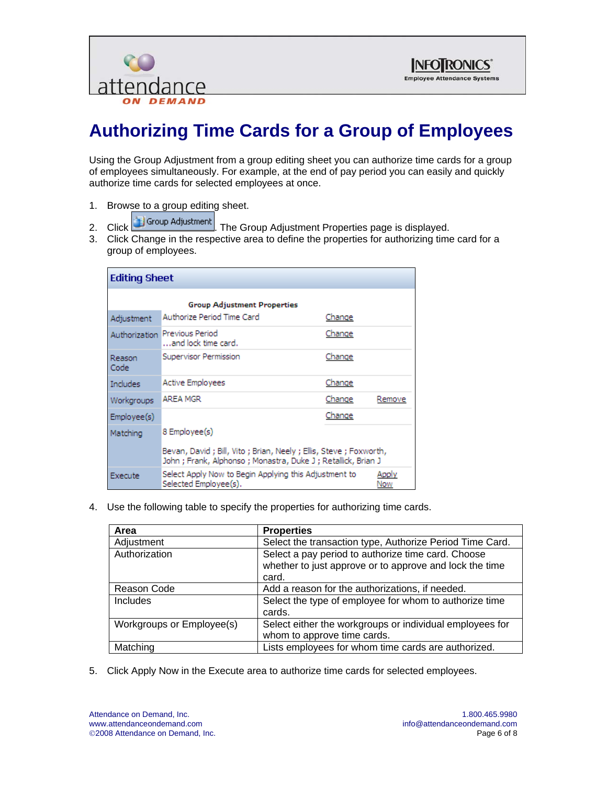



# **Authorizing Time Cards for a Group of Employees**

Using the Group Adjustment from a group editing sheet you can authorize time cards for a group of employees simultaneously. For example, at the end of pay period you can easily and quickly authorize time cards for selected employees at once.

- 
- 1. Browse to a group editing sheet.<br>2. Click  $\begin{array}{|c|c|c|}\n\hline\n\end{array}$  Group Adjustment  $\begin{array}{|c|c|c|}\n\hline\n\end{array}$  The C-The Group Adjustment Properties page is displayed.
- 3. Click Change in the respective area to define the properties for authorizing time card for a group of employees.

| <b>Editing Sheet</b>                                                                      |                                                                                                                                       |              |        |  |  |  |
|-------------------------------------------------------------------------------------------|---------------------------------------------------------------------------------------------------------------------------------------|--------------|--------|--|--|--|
| <b>Group Adjustment Properties</b>                                                        |                                                                                                                                       |              |        |  |  |  |
| Adjustment                                                                                | Authorize Period Time Card                                                                                                            | Change       |        |  |  |  |
|                                                                                           | Authorization Previous Period<br>and lock time card.                                                                                  | Change       |        |  |  |  |
| Reason<br>Code                                                                            | Supervisor Permission                                                                                                                 | Change       |        |  |  |  |
| Includes                                                                                  | <b>Active Employees</b>                                                                                                               | Change       |        |  |  |  |
| Workgroups                                                                                | <b>AREA MGR</b>                                                                                                                       | Change       | Remove |  |  |  |
| Employee(s)                                                                               |                                                                                                                                       | Change       |        |  |  |  |
| Matching                                                                                  | 8 Employee(s)                                                                                                                         |              |        |  |  |  |
|                                                                                           | Bevan, David ; Bill, Vito ; Brian, Neely ; Ellis, Steve ; Foxworth,<br>John ; Frank, Alphonso ; Monastra, Duke J ; Retallick, Brian J |              |        |  |  |  |
| Select Apply Now to Begin Applying this Adjustment to<br>Execute<br>Selected Employee(s). |                                                                                                                                       | Apply<br>Now |        |  |  |  |

4. Use the following table to specify the properties for authorizing time cards.

| Area                      | <b>Properties</b>                                                                                             |  |
|---------------------------|---------------------------------------------------------------------------------------------------------------|--|
| Adjustment                | Select the transaction type, Authorize Period Time Card.                                                      |  |
| Authorization             | Select a pay period to authorize time card. Choose<br>whether to just approve or to approve and lock the time |  |
|                           | card.                                                                                                         |  |
| Reason Code               | Add a reason for the authorizations, if needed.                                                               |  |
| <b>Includes</b>           | Select the type of employee for whom to authorize time<br>cards.                                              |  |
| Workgroups or Employee(s) | Select either the workgroups or individual employees for                                                      |  |
|                           | whom to approve time cards.                                                                                   |  |
| Matching                  | Lists employees for whom time cards are authorized.                                                           |  |

5. Click Apply Now in the Execute area to authorize time cards for selected employees.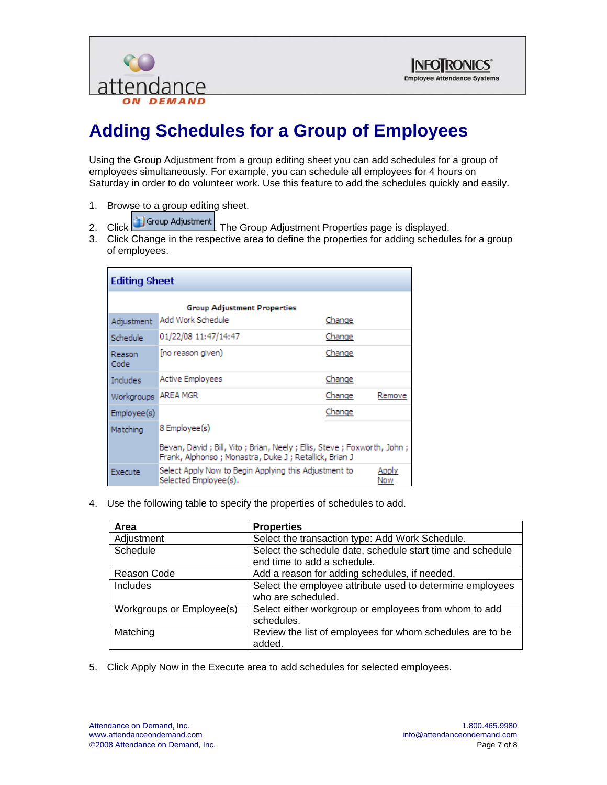



# **Adding Schedules for a Group of Employees**

Using the Group Adjustment from a group editing sheet you can add schedules for a group of employees simultaneously. For example, you can schedule all employees for 4 hours on Saturday in order to do volunteer work. Use this feature to add the schedules quickly and easily.

- 
- 1. Browse to a group editing sheet.<br>2. Click  $\begin{array}{|c|c|c|}\n\hline\n\end{array}$  Group Adjustment The Group Adjustment Properties page is displayed.
- 3. Click Change in the respective area to define the properties for adding schedules for a group of employees.

| <b>Editing Sheet</b>                                                                             |                                                                                                                                       |        |        |  |  |
|--------------------------------------------------------------------------------------------------|---------------------------------------------------------------------------------------------------------------------------------------|--------|--------|--|--|
| <b>Group Adjustment Properties</b>                                                               |                                                                                                                                       |        |        |  |  |
| Adjustment                                                                                       | Add Work Schedule                                                                                                                     | Change |        |  |  |
| Schedule                                                                                         | 01/22/08 11:47/14:47                                                                                                                  | Change |        |  |  |
| Reason<br>Code                                                                                   | [no reason given)                                                                                                                     | Change |        |  |  |
| Includes                                                                                         | <b>Active Employees</b>                                                                                                               | Change |        |  |  |
| Workgroups                                                                                       | <b>AREA MGR</b>                                                                                                                       | Change | Remove |  |  |
| Employee(s)                                                                                      |                                                                                                                                       | Change |        |  |  |
| 8 Employee(s)<br>Matching                                                                        |                                                                                                                                       |        |        |  |  |
|                                                                                                  | Bevan, David ; Bill, Vito ; Brian, Neely ; Ellis, Steve ; Foxworth, John ;<br>Frank, Alphonso ; Monastra, Duke J ; Retallick, Brian J |        |        |  |  |
| Select Apply Now to Begin Applying this Adjustment to<br>Execute<br>Selected Employee(s).<br>Now |                                                                                                                                       |        | Apply  |  |  |

4. Use the following table to specify the properties of schedules to add.

| Area                      | <b>Properties</b>                                                                         |
|---------------------------|-------------------------------------------------------------------------------------------|
| Adjustment                | Select the transaction type: Add Work Schedule.                                           |
| Schedule                  | Select the schedule date, schedule start time and schedule<br>end time to add a schedule. |
| Reason Code               | Add a reason for adding schedules, if needed.                                             |
| <b>Includes</b>           | Select the employee attribute used to determine employees<br>who are scheduled.           |
| Workgroups or Employee(s) | Select either workgroup or employees from whom to add<br>schedules.                       |
| Matching                  | Review the list of employees for whom schedules are to be<br>added.                       |

5. Click Apply Now in the Execute area to add schedules for selected employees.